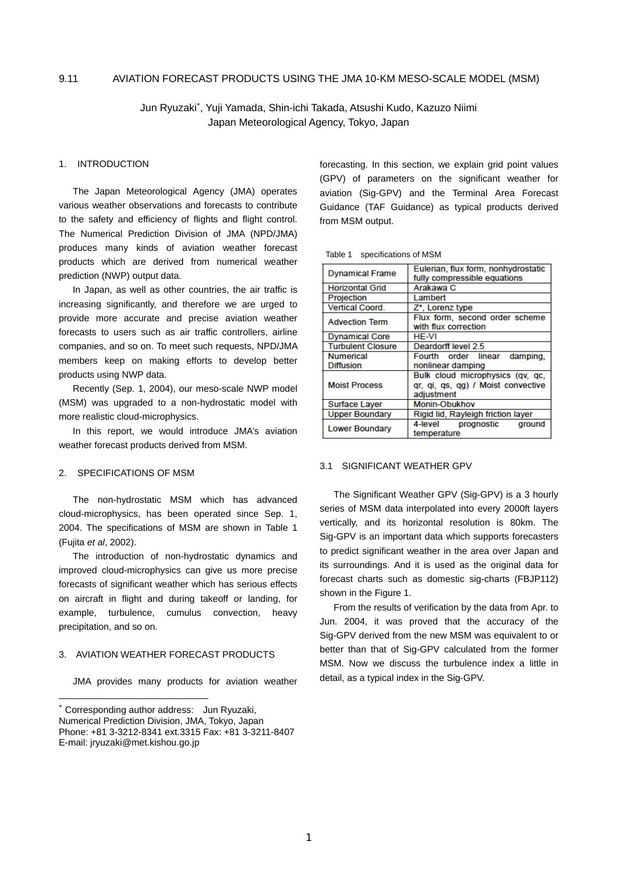#### 9.11 AVIATION FORECAST PRODUCTS USING THE JMA 10-KM MESO-SCALE MODEL (MSM)

Jun Ryuzaki<sup>∗</sup> , Yuji Yamada, Shin-ichi Takada, Atsushi Kudo, Kazuzo Niimi Japan Meteorological Agency, Tokyo, Japan

## 1. INTRODUCTION

The Japan Meteorological Agency (JMA) operates various weather observations and forecasts to contribute to the safety and efficiency of flights and flight control. The Numerical Prediction Division of JMA (NPD/JMA) produces many kinds of aviation weather forecast products which are derived from numerical weather prediction (NWP) output data.

In Japan, as well as other countries, the air traffic is increasing significantly, and therefore we are urged to provide more accurate and precise aviation weather forecasts to users such as air traffic controllers, airline companies, and so on. To meet such requests, NPD/JMA members keep on making efforts to develop better products using NWP data.

Recently (Sep. 1, 2004), our meso-scale NWP model (MSM) was upgraded to a non-hydrostatic model with more realistic cloud-microphysics.

In this report, we would introduce JMA's aviation weather forecast products derived from MSM.

## 2. SPECIFICATIONS OF MSM

l

The non-hydrostatic MSM which has advanced cloud-microphysics, has been operated since Sep. 1, 2004. The specifications of MSM are shown in Table 1 (Fujita *et al*, 2002).

The introduction of non-hydrostatic dynamics and improved cloud-microphysics can give us more precise forecasts of significant weather which has serious effects on aircraft in flight and during takeoff or landing, for example, turbulence, cumulus convection, heavy precipitation, and so on.

## 3. AVIATION WEATHER FORECAST PRODUCTS

JMA provides many products for aviation weather

forecasting. In this section, we explain grid point values (GPV) of parameters on the significant weather for aviation (Sig-GPV) and the Terminal Area Forecast Guidance (TAF Guidance) as typical products derived from MSM output.

Table 1 specifications of MSM

| <b>Dynamical Frame</b>   | Eulerian, flux form, nonhydrostatic<br>fully compressible equations                  |  |
|--------------------------|--------------------------------------------------------------------------------------|--|
| <b>Horizontal Grid</b>   | Arakawa C                                                                            |  |
| Projection               | Lambert                                                                              |  |
| <b>Vertical Coord.</b>   | Z*. Lorenz type                                                                      |  |
| <b>Advection Term</b>    | Flux form, second order scheme<br>with flux correction                               |  |
| <b>Dynamical Core</b>    | HF-VI                                                                                |  |
| <b>Turbulent Closure</b> | Deardorff level 2.5                                                                  |  |
| <b>Numerical</b>         | Fourth order linear damping,                                                         |  |
| <b>Diffusion</b>         | nonlinear damping                                                                    |  |
| <b>Moist Process</b>     | Bulk cloud microphysics (qv, qc,<br>gr. gi. gs. gg) / Moist convective<br>adjustment |  |
| <b>Surface Layer</b>     | <b>Monin-Obukhov</b>                                                                 |  |
| <b>Upper Boundary</b>    | Rigid lid, Rayleigh friction layer                                                   |  |
| <b>Lower Boundary</b>    | 4-level prognostic<br>ground<br>temperature                                          |  |

#### 3.1 SIGNIFICANT WEATHER GPV

The Significant Weather GPV (Sig-GPV) is a 3 hourly series of MSM data interpolated into every 2000ft layers vertically, and its horizontal resolution is 80km. The Sig-GPV is an important data which supports forecasters to predict significant weather in the area over Japan and its surroundings. And it is used as the original data for forecast charts such as domestic sig-charts (FBJP112) shown in the Figure 1.

From the results of verification by the data from Apr. to Jun. 2004, it was proved that the accuracy of the Sig-GPV derived from the new MSM was equivalent to or better than that of Sig-GPV calculated from the former MSM. Now we discuss the turbulence index a little in detail, as a typical index in the Sig-GPV.

<sup>∗</sup> Corresponding author address: Jun Ryuzaki, Numerical Prediction Division, JMA, Tokyo, Japan Phone: +81 3-3212-8341 ext.3315 Fax: +81 3-3211-8407 E-mail: jryuzaki@met.kishou.go.jp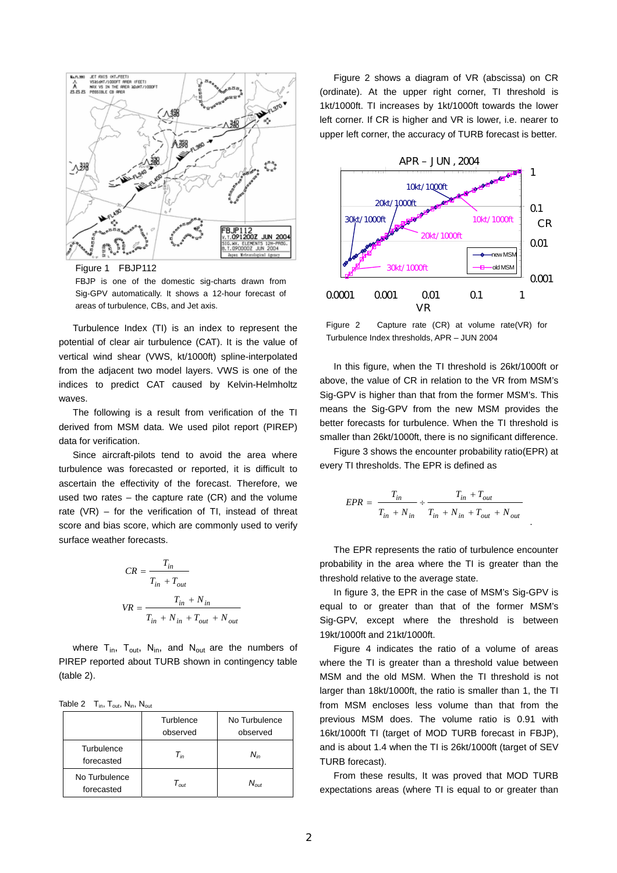

Figure 1 FBJP112

FBJP is one of the domestic sig-charts drawn from Sig-GPV automatically. It shows a 12-hour forecast of areas of turbulence, CBs, and Jet axis.

Turbulence Index (TI) is an index to represent the potential of clear air turbulence (CAT). It is the value of vertical wind shear (VWS, kt/1000ft) spline-interpolated from the adjacent two model layers. VWS is one of the indices to predict CAT caused by Kelvin-Helmholtz waves.

The following is a result from verification of the TI derived from MSM data. We used pilot report (PIREP) data for verification.

Since aircraft-pilots tend to avoid the area where turbulence was forecasted or reported, it is difficult to ascertain the effectivity of the forecast. Therefore, we used two rates  $-$  the capture rate (CR) and the volume rate (VR) – for the verification of TI, instead of threat score and bias score, which are commonly used to verify surface weather forecasts.

$$
CR = \frac{T_{in}}{T_{in} + T_{out}}
$$
  

$$
VR = \frac{T_{in} + N_{in}}{T_{in} + N_{in} + T_{out} + N_{out}}
$$

where  $T_{in}$ ,  $T_{out}$ ,  $N_{in}$ , and  $N_{out}$  are the numbers of PIREP reported about TURB shown in contingency table (table 2).

Table 2  $T_{in}$ ,  $T_{out}$ ,  $N_{in}$ ,  $N_{out}$ 

|                             | Turblence<br>observed                   | No Turbulence<br>observed |
|-----------------------------|-----------------------------------------|---------------------------|
| Turbulence<br>forecasted    | $T_{in}$                                | $N_{in}$                  |
| No Turbulence<br>forecasted | $\tau_{\scriptscriptstyle \mathit out}$ | $N_{out}$                 |

Figure 2 shows a diagram of VR (abscissa) on CR (ordinate). At the upper right corner, TI threshold is 1kt/1000ft. TI increases by 1kt/1000ft towards the lower left corner. If CR is higher and VR is lower, i.e. nearer to upper left corner, the accuracy of TURB forecast is better.



Figure 2 Capture rate (CR) at volume rate(VR) for Turbulence Index thresholds, APR – JUN 2004

In this figure, when the TI threshold is 26kt/1000ft or above, the value of CR in relation to the VR from MSM's Sig-GPV is higher than that from the former MSM's. This means the Sig-GPV from the new MSM provides the better forecasts for turbulence. When the TI threshold is smaller than 26kt/1000ft, there is no significant difference.

Figure 3 shows the encounter probability ratio(EPR) at every TI thresholds. The EPR is defined as

$$
EPR = \frac{T_{in}}{T_{in} + N_{in}} \div \frac{T_{in} + T_{out}}{T_{in} + N_{in} + T_{out} + N_{out}}
$$

The EPR represents the ratio of turbulence encounter probability in the area where the TI is greater than the threshold relative to the average state.

In figure 3, the EPR in the case of MSM's Sig-GPV is equal to or greater than that of the former MSM's Sig-GPV, except where the threshold is between 19kt/1000ft and 21kt/1000ft.

Figure 4 indicates the ratio of a volume of areas where the TI is greater than a threshold value between MSM and the old MSM. When the TI threshold is not larger than 18kt/1000ft, the ratio is smaller than 1, the TI from MSM encloses less volume than that from the previous MSM does. The volume ratio is 0.91 with 16kt/1000ft TI (target of MOD TURB forecast in FBJP), and is about 1.4 when the TI is 26kt/1000ft (target of SEV TURB forecast).

From these results, It was proved that MOD TURB expectations areas (where TI is equal to or greater than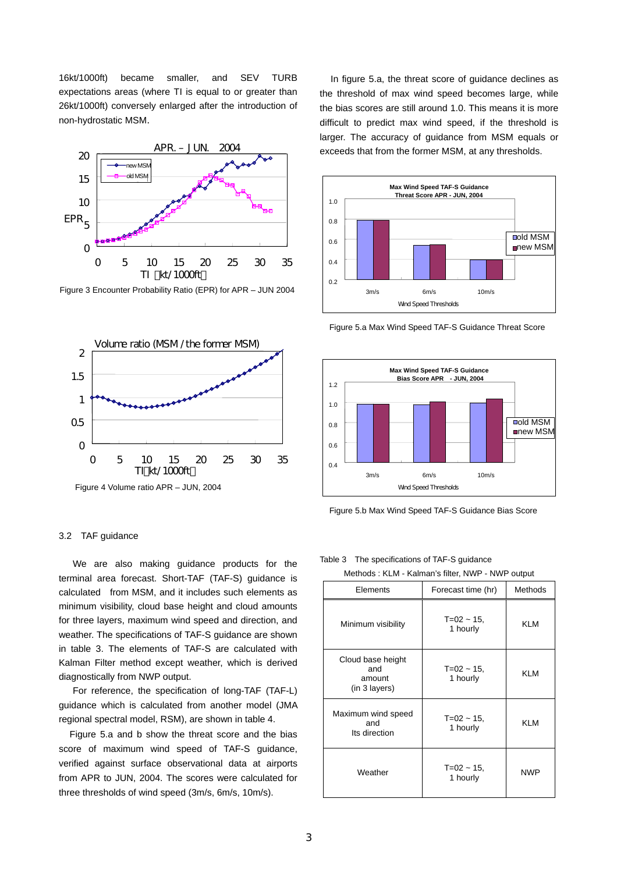16kt/1000ft) became smaller, and SEV TURB expectations areas (where TI is equal to or greater than 26kt/1000ft) conversely enlarged after the introduction of non-hydrostatic MSM.



Figure 3 Encounter Probability Ratio (EPR) for APR – JUN 2004



Figure 4 Volume ratio APR – JUN, 2004

#### 3.2 TAF guidance

We are also making guidance products for the terminal area forecast. Short-TAF (TAF-S) guidance is calculated from MSM, and it includes such elements as minimum visibility, cloud base height and cloud amounts for three layers, maximum wind speed and direction, and weather. The specifications of TAF-S guidance are shown in table 3. The elements of TAF-S are calculated with Kalman Filter method except weather, which is derived diagnostically from NWP output.

For reference, the specification of long-TAF (TAF-L) guidance which is calculated from another model (JMA regional spectral model, RSM), are shown in table 4.

Figure 5.a and b show the threat score and the bias score of maximum wind speed of TAF-S guidance, verified against surface observational data at airports from APR to JUN, 2004. The scores were calculated for three thresholds of wind speed (3m/s, 6m/s, 10m/s).

In figure 5.a, the threat score of guidance declines as the threshold of max wind speed becomes large, while the bias scores are still around 1.0. This means it is more difficult to predict max wind speed, if the threshold is larger. The accuracy of guidance from MSM equals or exceeds that from the former MSM, at any thresholds.



Figure 5.a Max Wind Speed TAF-S Guidance Threat Score



Figure 5.b Max Wind Speed TAF-S Guidance Bias Score

Table 3 The specifications of TAF-S guidance

Methods : KLM - Kalman's filter, NWP - NWP output

| Elements                                            | Forecast time (hr)        | <b>Methods</b> |
|-----------------------------------------------------|---------------------------|----------------|
| Minimum visibility                                  | $T=02 - 15$<br>1 hourly   | <b>KLM</b>     |
| Cloud base height<br>and<br>amount<br>(in 3 layers) | $T=02 - 15$<br>1 hourly   | <b>KLM</b>     |
| Maximum wind speed<br>and<br>Its direction          | $T=02 - 15$<br>1 hourly   | <b>KLM</b>     |
| Weather                                             | $T = 02 - 15$<br>1 hourly | <b>NWP</b>     |